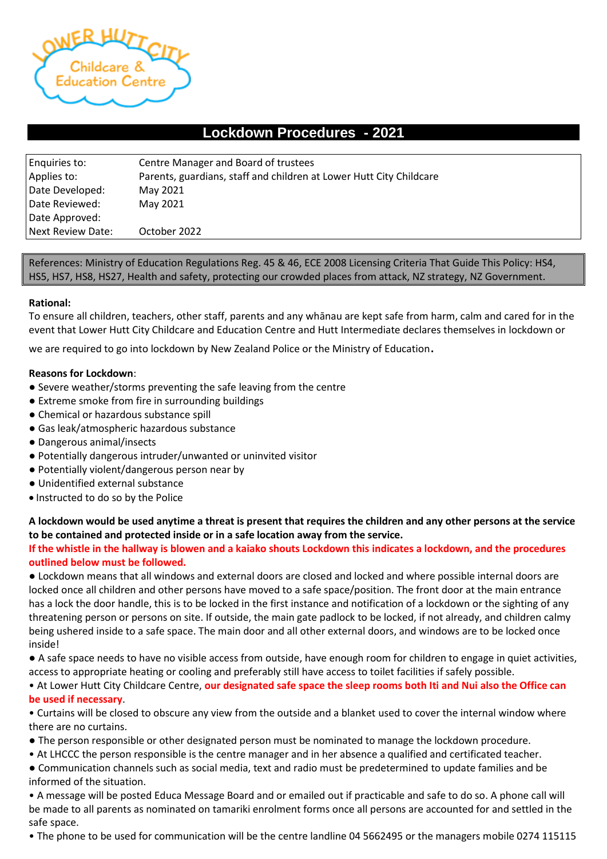

# **Lockdown Procedures - 2021**

| Enquiries to:     | Centre Manager and Board of trustees                                |
|-------------------|---------------------------------------------------------------------|
| Applies to:       | Parents, guardians, staff and children at Lower Hutt City Childcare |
| Date Developed:   | May 2021                                                            |
| Date Reviewed:    | May 2021                                                            |
| Date Approved:    |                                                                     |
| Next Review Date: | October 2022                                                        |

References: Ministry of Education Regulations Reg. 45 & 46, ECE 2008 Licensing Criteria That Guide This Policy: HS4, HS5, HS7, HS8, HS27, Health and safety, protecting our crowded places from attack, NZ strategy, NZ Government.

## **Rational:**

To ensure all children, teachers, other staff, parents and any whānau are kept safe from harm, calm and cared for in the event that Lower Hutt City Childcare and Education Centre and Hutt Intermediate declares themselves in lockdown or

we are required to go into lockdown by New Zealand Police or the Ministry of Education.

## **Reasons for Lockdown**:

- Severe weather/storms preventing the safe leaving from the centre
- Extreme smoke from fire in surrounding buildings
- Chemical or hazardous substance spill
- Gas leak/atmospheric hazardous substance
- Dangerous animal/insects
- Potentially dangerous intruder/unwanted or uninvited visitor
- Potentially violent/dangerous person near by
- Unidentified external substance
- Instructed to do so by the Police

## **A lockdown would be used anytime a threat is present that requires the children and any other persons at the service to be contained and protected inside or in a safe location away from the service.**

**If the whistle in the hallway is blowen and a kaiako shouts Lockdown this indicates a lockdown, and the procedures outlined below must be followed.** 

● Lockdown means that all windows and external doors are closed and locked and where possible internal doors are locked once all children and other persons have moved to a safe space/position. The front door at the main entrance has a lock the door handle, this is to be locked in the first instance and notification of a lockdown or the sighting of any threatening person or persons on site. If outside, the main gate padlock to be locked, if not already, and children calmy being ushered inside to a safe space. The main door and all other external doors, and windows are to be locked once inside!

● A safe space needs to have no visible access from outside, have enough room for children to engage in quiet activities, access to appropriate heating or cooling and preferably still have access to toilet facilities if safely possible.

• At Lower Hutt City Childcare Centre, **our designated safe space the sleep rooms both Iti and Nui also the Office can be used if necessary**.

• Curtains will be closed to obscure any view from the outside and a blanket used to cover the internal window where there are no curtains.

- The person responsible or other designated person must be nominated to manage the lockdown procedure.
- At LHCCC the person responsible is the centre manager and in her absence a qualified and certificated teacher.

● Communication channels such as social media, text and radio must be predetermined to update families and be informed of the situation.

• A message will be posted Educa Message Board and or emailed out if practicable and safe to do so. A phone call will be made to all parents as nominated on tamariki enrolment forms once all persons are accounted for and settled in the safe space.

• The phone to be used for communication will be the centre landline 04 5662495 or the managers mobile 0274 115115